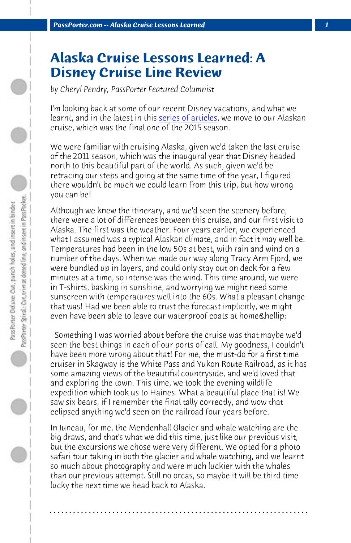*PassPorter.com -- Alaska Cruise Lessons Learned 1*

## **Alaska Cruise Lessons Learned: A Disney Cruise Line Review**

*by Cheryl Pendry, PassPorter Featured Columnist*

I'm looking back at some of our recent Disney vacations, and what we learnt, and in the latest in this series of articles, we move to our Alaskan cruise, which was the final one of the 2015 season.

We were familiar with cruising Alaska, given we'd taken the last cruise of the 2011 season, which was the inaugural year that Disney headed north to this beautiful part of the world. As such, given we'd be retracing our steps and going at the same time of the year, I figured there wouldn't be much we could learn from this trip, but how wrong you can be!

Although we knew the itinerary, and we'd seen the scenery before, there were a lot of differences between this cruise, and our first visit to Alaska. The first was the weather. Four years earlier, we experienced what I assumed was a typical Alaskan climate, and in fact it may well be. Temperatures had been in the low 50s at best, with rain and wind on a number of the days. When we made our way along Tracy Arm Fjord, we were bundled up in layers, and could only stay out on deck for a few minutes at a time, so intense was the wind. This time around, we were in T-shirts, basking in sunshine, and worrying we might need some sunscreen with temperatures well into the 60s. What a pleasant change that was! Had we been able to trust the forecast implicitly, we might even have been able to leave our waterproof coats at home & hellip;

 Something I was worried about before the cruise was that maybe we'd seen the best things in each of our ports of call. My goodness, I couldn't have been more wrong about that! For me, the must-do for a first time cruiser in Skagway is the White Pass and Yukon Route Railroad, as it has some amazing views of the beautiful countryside, and we'd loved that and exploring the town. This time, we took the evening wildlife expedition which took us to Haines. What a beautiful place that is! We saw six bears, if I remember the final tally correctly, and wow that eclipsed anything we'd seen on the railroad four years before.

In Juneau, for me, the Mendenhall Glacier and whale watching are the big draws, and that's what we did this time, just like our previous visit, but the excursions we chose were very different. We opted for a photo safari tour taking in both the glacier and whale watching, and we learnt so much about photography and were much luckier with the whales than our previous attempt. Still no orcas, so maybe it will be third time lucky the next time we head back to Alaska.

**. . . . . . . . . . . . . . . . . . . . . . . . . . . . . . . . . . . . . . . . . . . . . . . . . . . . . . . . . . . . . . . . . .**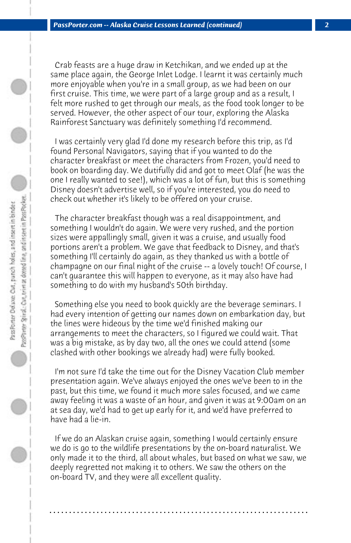Crab feasts are a huge draw in Ketchikan, and we ended up at the same place again, the George Inlet Lodge. I learnt it was certainly much more enjoyable when you're in a small group, as we had been on our first cruise. This time, we were part of a large group and as a result, I felt more rushed to get through our meals, as the food took longer to be served. However, the other aspect of our tour, exploring the Alaska Rainforest Sanctuary was definitely something I'd recommend.

 I was certainly very glad I'd done my research before this trip, as I'd found Personal Navigators, saying that if you wanted to do the character breakfast or meet the characters from Frozen, you'd need to book on boarding day. We dutifully did and got to meet Olaf (he was the one I really wanted to see!), which was a lot of fun, but this is something Disney doesn't advertise well, so if you're interested, you do need to check out whether it's likely to be offered on your cruise.

 The character breakfast though was a real disappointment, and something I wouldn't do again. We were very rushed, and the portion sizes were appallingly small, given it was a cruise, and usually food portions aren't a problem. We gave that feedback to Disney, and that's something I'll certainly do again, as they thanked us with a bottle of champagne on our final night of the cruise -- a lovely touch! Of course, I can't guarantee this will happen to everyone, as it may also have had something to do with my husband's 50th birthday.

 Something else you need to book quickly are the beverage seminars. I had every intention of getting our names down on embarkation day, but the lines were hideous by the time we'd finished making our arrangements to meet the characters, so I figured we could wait. That was a big mistake, as by day two, all the ones we could attend (some clashed with other bookings we already had) were fully booked.

 I'm not sure I'd take the time out for the Disney Vacation Club member presentation again. We've always enjoyed the ones we've been to in the past, but this time, we found it much more sales focused, and we came away feeling it was a waste of an hour, and given it was at 9:00am on an at sea day, we'd had to get up early for it, and we'd have preferred to have had a lie-in.

 If we do an Alaskan cruise again, something I would certainly ensure we do is go to the wildlife presentations by the on-board naturalist. We only made it to the third, all about whales, but based on what we saw, we deeply regretted not making it to others. We saw the others on the on-board TV, and they were all excellent quality.

**. . . . . . . . . . . . . . . . . . . . . . . . . . . . . . . . . . . . . . . . . . . . . . . . . . . . . . . . . . . . . . . . . .**